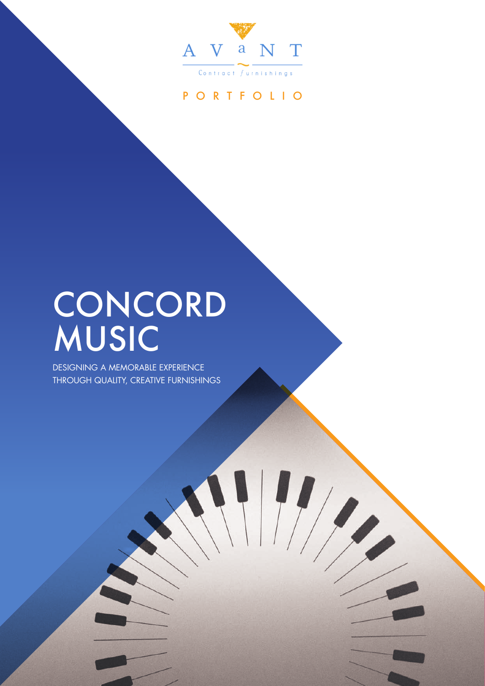

### PORTFOLIO

 $\left| \ \right|$ 

## CONCORD MUSIC

DESIGNING A MEMORABLE EXPERIENCE THROUGH QUALITY, CREATIVE FURNISHINGS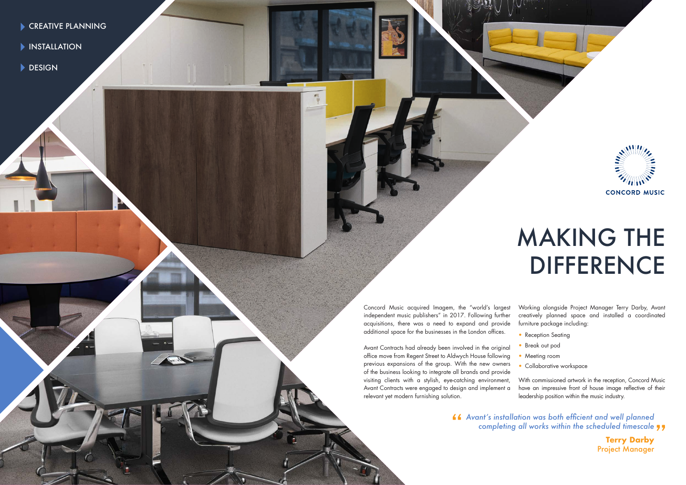- CREATIVE PLANNING
- **INSTALLATION**
- DESIGN

Concord Music acquired Imagem, the "world's largest independent music publishers" in 2017. Following further acquisitions, there was a need to expand and provide additional space for the businesses in the London offices.

- Reception Seating
- Break out pod
- 
- 

Avant Contracts had already been involved in the original office move from Regent Street to Aldwych House following previous expansions of the group. With the new owners of the business looking to integrate all brands and provide visiting clients with a stylish, eye-catching environment, Avant Contracts were engaged to design and implement a relevant yet modern furnishing solution. • Meeting room • Collaborative workspace With commissioned artwork in the reception, Concord Music have an impressive front of house image reflective of their leadership position within the music industry.

Working alongside Project Manager Terry Darby, Avant creatively planned space and installed a coordinated furniture package including:

# MAKING THE DIFFERENCE

*Avant's installation was both efficient and well planned* completing all works within the scheduled timescale "



**Terry Darby** Project Manager